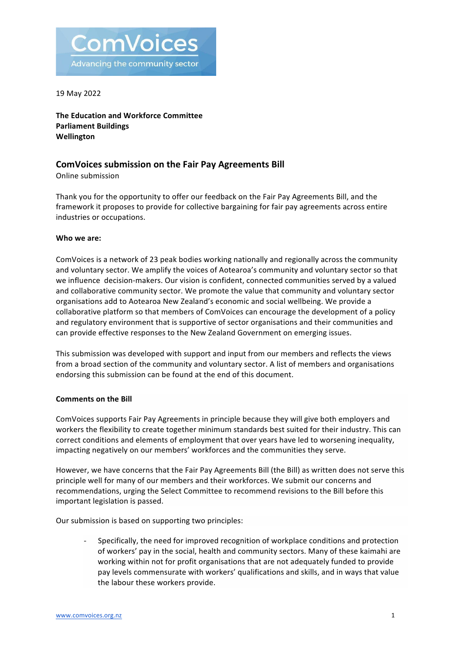

19 May 2022

**The Education and Workforce Committee Parliament Buildings Wellington**

#### **ComVoices submission on the Fair Pay Agreements Bill**

Online submission

Thank you for the opportunity to offer our feedback on the Fair Pay Agreements Bill, and the framework it proposes to provide for collective bargaining for fair pay agreements across entire industries or occupations.

#### Who we are:

ComVoices is a network of 23 peak bodies working nationally and regionally across the community and voluntary sector. We amplify the voices of Aotearoa's community and voluntary sector so that we influence decision-makers. Our vision is confident, connected communities served by a valued and collaborative community sector. We promote the value that community and voluntary sector organisations add to Aotearoa New Zealand's economic and social wellbeing. We provide a collaborative platform so that members of ComVoices can encourage the development of a policy and regulatory environment that is supportive of sector organisations and their communities and can provide effective responses to the New Zealand Government on emerging issues.

This submission was developed with support and input from our members and reflects the views from a broad section of the community and voluntary sector. A list of members and organisations endorsing this submission can be found at the end of this document.

#### **Comments on the Bill**

ComVoices supports Fair Pay Agreements in principle because they will give both employers and workers the flexibility to create together minimum standards best suited for their industry. This can correct conditions and elements of employment that over years have led to worsening inequality, impacting negatively on our members' workforces and the communities they serve.

However, we have concerns that the Fair Pay Agreements Bill (the Bill) as written does not serve this principle well for many of our members and their workforces. We submit our concerns and recommendations, urging the Select Committee to recommend revisions to the Bill before this important legislation is passed.

Our submission is based on supporting two principles:

Specifically, the need for improved recognition of workplace conditions and protection of workers' pay in the social, health and community sectors. Many of these kaimahi are working within not for profit organisations that are not adequately funded to provide pay levels commensurate with workers' qualifications and skills, and in ways that value the labour these workers provide.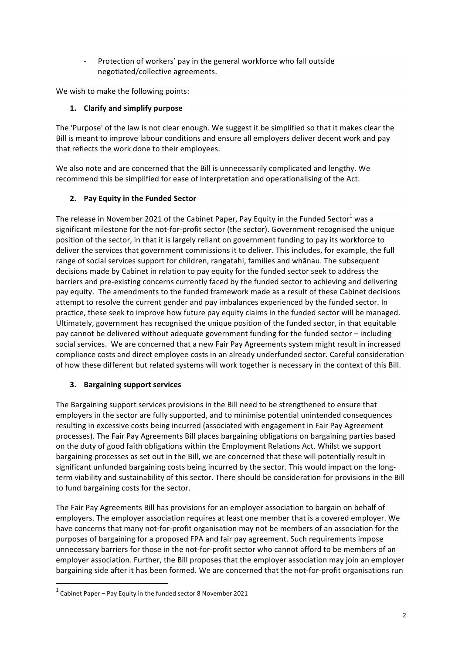Protection of workers' pay in the general workforce who fall outside negotiated/collective agreements.

We wish to make the following points:

# 1. **Clarify and simplify purpose**

The 'Purpose' of the law is not clear enough. We suggest it be simplified so that it makes clear the Bill is meant to improve labour conditions and ensure all employers deliver decent work and pay that reflects the work done to their employees.

We also note and are concerned that the Bill is unnecessarily complicated and lengthy. We recommend this be simplified for ease of interpretation and operationalising of the Act.

## **2. Pay Equity in the Funded Sector**

The release in November 2021 of the Cabinet Paper, Pay Equity in the Funded Sector<sup>1</sup> was a significant milestone for the not-for-profit sector (the sector). Government recognised the unique position of the sector, in that it is largely reliant on government funding to pay its workforce to deliver the services that government commissions it to deliver. This includes, for example, the full range of social services support for children, rangatahi, families and whānau. The subsequent decisions made by Cabinet in relation to pay equity for the funded sector seek to address the barriers and pre-existing concerns currently faced by the funded sector to achieving and delivering pay equity. The amendments to the funded framework made as a result of these Cabinet decisions attempt to resolve the current gender and pay imbalances experienced by the funded sector. In practice, these seek to improve how future pay equity claims in the funded sector will be managed. Ultimately, government has recognised the unique position of the funded sector, in that equitable pay cannot be delivered without adequate government funding for the funded sector – including social services. We are concerned that a new Fair Pay Agreements system might result in increased compliance costs and direct employee costs in an already underfunded sector. Careful consideration of how these different but related systems will work together is necessary in the context of this Bill.

## **3.** Bargaining support services

The Bargaining support services provisions in the Bill need to be strengthened to ensure that employers in the sector are fully supported, and to minimise potential unintended consequences resulting in excessive costs being incurred (associated with engagement in Fair Pay Agreement processes). The Fair Pay Agreements Bill places bargaining obligations on bargaining parties based on the duty of good faith obligations within the Employment Relations Act. Whilst we support bargaining processes as set out in the Bill, we are concerned that these will potentially result in significant unfunded bargaining costs being incurred by the sector. This would impact on the longterm viability and sustainability of this sector. There should be consideration for provisions in the Bill to fund bargaining costs for the sector.

The Fair Pay Agreements Bill has provisions for an employer association to bargain on behalf of employers. The employer association requires at least one member that is a covered employer. We have concerns that many not-for-profit organisation may not be members of an association for the purposes of bargaining for a proposed FPA and fair pay agreement. Such requirements impose unnecessary barriers for those in the not-for-profit sector who cannot afford to be members of an employer association. Further, the Bill proposes that the employer association may join an employer bargaining side after it has been formed. We are concerned that the not-for-profit organisations run

 

 $1$  Cabinet Paper – Pay Equity in the funded sector 8 November 2021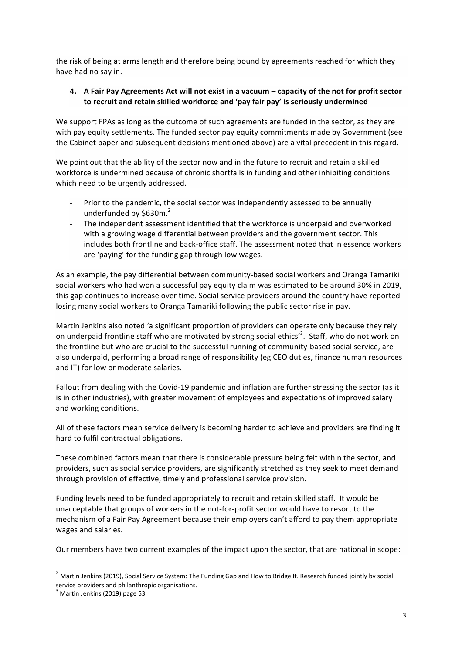the risk of being at arms length and therefore being bound by agreements reached for which they have had no say in.

#### 4. A Fair Pay Agreements Act will not exist in a vacuum – capacity of the not for profit sector to recruit and retain skilled workforce and 'pay fair pay' is seriously undermined

We support FPAs as long as the outcome of such agreements are funded in the sector, as they are with pay equity settlements. The funded sector pay equity commitments made by Government (see the Cabinet paper and subsequent decisions mentioned above) are a vital precedent in this regard.

We point out that the ability of the sector now and in the future to recruit and retain a skilled workforce is undermined because of chronic shortfalls in funding and other inhibiting conditions which need to be urgently addressed.

- Prior to the pandemic, the social sector was independently assessed to be annually underfunded by \$630m.<sup>2</sup>
- The independent assessment identified that the workforce is underpaid and overworked with a growing wage differential between providers and the government sector. This includes both frontline and back-office staff. The assessment noted that in essence workers are 'paying' for the funding gap through low wages.

As an example, the pay differential between community-based social workers and Oranga Tamariki social workers who had won a successful pay equity claim was estimated to be around 30% in 2019, this gap continues to increase over time. Social service providers around the country have reported losing many social workers to Oranga Tamariki following the public sector rise in pay.

Martin Jenkins also noted 'a significant proportion of providers can operate only because they rely on underpaid frontline staff who are motivated by strong social ethics'<sup>3</sup>. Staff, who do not work on the frontline but who are crucial to the successful running of community-based social service, are also underpaid, performing a broad range of responsibility (eg CEO duties, finance human resources and IT) for low or moderate salaries.

Fallout from dealing with the Covid-19 pandemic and inflation are further stressing the sector (as it is in other industries), with greater movement of employees and expectations of improved salary and working conditions.

All of these factors mean service delivery is becoming harder to achieve and providers are finding it hard to fulfil contractual obligations.

These combined factors mean that there is considerable pressure being felt within the sector, and providers, such as social service providers, are significantly stretched as they seek to meet demand through provision of effective, timely and professional service provision.

Funding levels need to be funded appropriately to recruit and retain skilled staff. It would be unacceptable that groups of workers in the not-for-profit sector would have to resort to the mechanism of a Fair Pay Agreement because their employers can't afford to pay them appropriate wages and salaries.

Our members have two current examples of the impact upon the sector, that are national in scope:

<u> 1989 - Jan Samuel Barbara, margaret e</u>

 $2$  Martin Jenkins (2019), Social Service System: The Funding Gap and How to Bridge It. Research funded jointly by social service providers and philanthropic organisations.

 $<sup>3</sup>$  Martin Jenkins (2019) page 53</sup>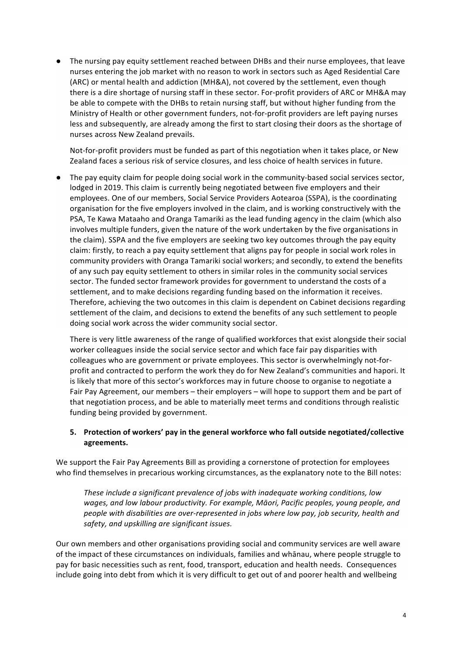The nursing pay equity settlement reached between DHBs and their nurse employees, that leave nurses entering the job market with no reason to work in sectors such as Aged Residential Care (ARC) or mental health and addiction (MH&A), not covered by the settlement, even though there is a dire shortage of nursing staff in these sector. For-profit providers of ARC or MH&A may be able to compete with the DHBs to retain nursing staff, but without higher funding from the Ministry of Health or other government funders, not-for-profit providers are left paying nurses less and subsequently, are already among the first to start closing their doors as the shortage of nurses across New Zealand prevails.

Not-for-profit providers must be funded as part of this negotiation when it takes place, or New Zealand faces a serious risk of service closures, and less choice of health services in future.

The pay equity claim for people doing social work in the community-based social services sector, lodged in 2019. This claim is currently being negotiated between five employers and their employees. One of our members, Social Service Providers Aotearoa (SSPA), is the coordinating organisation for the five employers involved in the claim, and is working constructively with the PSA, Te Kawa Mataaho and Oranga Tamariki as the lead funding agency in the claim (which also involves multiple funders, given the nature of the work undertaken by the five organisations in the claim). SSPA and the five employers are seeking two key outcomes through the pay equity claim: firstly, to reach a pay equity settlement that aligns pay for people in social work roles in community providers with Oranga Tamariki social workers; and secondly, to extend the benefits of any such pay equity settlement to others in similar roles in the community social services sector. The funded sector framework provides for government to understand the costs of a settlement, and to make decisions regarding funding based on the information it receives. Therefore, achieving the two outcomes in this claim is dependent on Cabinet decisions regarding settlement of the claim, and decisions to extend the benefits of any such settlement to people doing social work across the wider community social sector.

There is very little awareness of the range of qualified workforces that exist alongside their social worker colleagues inside the social service sector and which face fair pay disparities with colleagues who are government or private employees. This sector is overwhelmingly not-forprofit and contracted to perform the work they do for New Zealand's communities and hapori. It is likely that more of this sector's workforces may in future choose to organise to negotiate a Fair Pay Agreement, our members – their employers – will hope to support them and be part of that negotiation process, and be able to materially meet terms and conditions through realistic funding being provided by government.

## 5. Protection of workers' pay in the general workforce who fall outside negotiated/collective **agreements.**

We support the Fair Pay Agreements Bill as providing a cornerstone of protection for employees who find themselves in precarious working circumstances, as the explanatory note to the Bill notes:

These include a significant prevalence of jobs with inadequate working conditions, low wages, and low labour productivity. For example, Māori, Pacific peoples, young people, and people with disabilities are over-represented in jobs where low pay, job security, health and *safety, and upskilling are significant issues.*

Our own members and other organisations providing social and community services are well aware of the impact of these circumstances on individuals, families and whanau, where people struggle to pay for basic necessities such as rent, food, transport, education and health needs. Consequences include going into debt from which it is very difficult to get out of and poorer health and wellbeing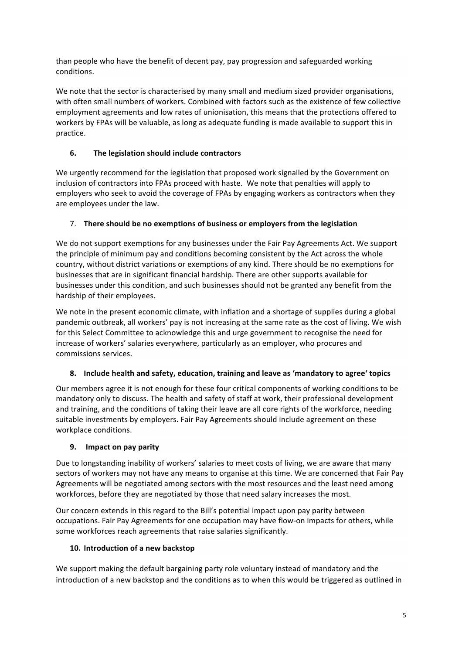than people who have the benefit of decent pay, pay progression and safeguarded working conditions. 

We note that the sector is characterised by many small and medium sized provider organisations, with often small numbers of workers. Combined with factors such as the existence of few collective employment agreements and low rates of unionisation, this means that the protections offered to workers by FPAs will be valuable, as long as adequate funding is made available to support this in practice.

# **6. The legislation should include contractors**

We urgently recommend for the legislation that proposed work signalled by the Government on inclusion of contractors into FPAs proceed with haste. We note that penalties will apply to employers who seek to avoid the coverage of FPAs by engaging workers as contractors when they are employees under the law.

## 7. There should be no exemptions of business or employers from the legislation

We do not support exemptions for any businesses under the Fair Pay Agreements Act. We support the principle of minimum pay and conditions becoming consistent by the Act across the whole country, without district variations or exemptions of any kind. There should be no exemptions for businesses that are in significant financial hardship. There are other supports available for businesses under this condition, and such businesses should not be granted any benefit from the hardship of their employees.

We note in the present economic climate, with inflation and a shortage of supplies during a global pandemic outbreak, all workers' pay is not increasing at the same rate as the cost of living. We wish for this Select Committee to acknowledge this and urge government to recognise the need for increase of workers' salaries everywhere, particularly as an employer, who procures and commissions services.

## **8.** Include health and safety, education, training and leave as 'mandatory to agree' topics

Our members agree it is not enough for these four critical components of working conditions to be mandatory only to discuss. The health and safety of staff at work, their professional development and training, and the conditions of taking their leave are all core rights of the workforce, needing suitable investments by employers. Fair Pay Agreements should include agreement on these workplace conditions.

## **9. Impact on pay parity**

Due to longstanding inability of workers' salaries to meet costs of living, we are aware that many sectors of workers may not have any means to organise at this time. We are concerned that Fair Pay Agreements will be negotiated among sectors with the most resources and the least need among workforces, before they are negotiated by those that need salary increases the most.

Our concern extends in this regard to the Bill's potential impact upon pay parity between occupations. Fair Pay Agreements for one occupation may have flow-on impacts for others, while some workforces reach agreements that raise salaries significantly.

## 10. **Introduction of a new backstop**

We support making the default bargaining party role voluntary instead of mandatory and the introduction of a new backstop and the conditions as to when this would be triggered as outlined in